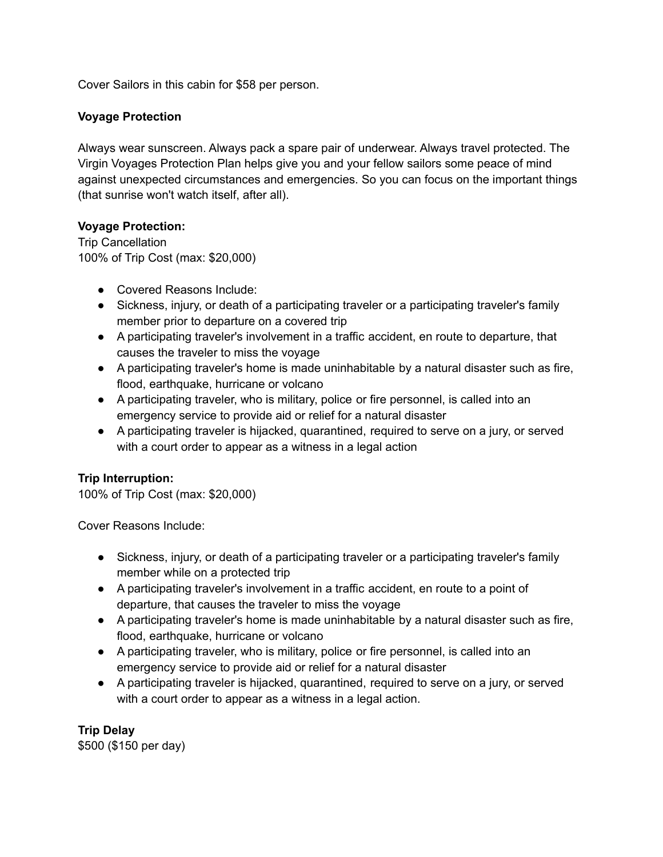Cover Sailors in this cabin for \$58 per person.

## **Voyage Protection**

Always wear sunscreen. Always pack a spare pair of underwear. Always travel protected. The Virgin Voyages Protection Plan helps give you and your fellow sailors some peace of mind against unexpected circumstances and emergencies. So you can focus on the important things (that sunrise won't watch itself, after all).

## **Voyage Protection:**

Trip Cancellation 100% of Trip Cost (max: \$20,000)

- Covered Reasons Include:
- Sickness, injury, or death of a participating traveler or a participating traveler's family member prior to departure on a covered trip
- A participating traveler's involvement in a traffic accident, en route to departure, that causes the traveler to miss the voyage
- A participating traveler's home is made uninhabitable by a natural disaster such as fire, flood, earthquake, hurricane or volcano
- A participating traveler, who is military, police or fire personnel, is called into an emergency service to provide aid or relief for a natural disaster
- A participating traveler is hijacked, quarantined, required to serve on a jury, or served with a court order to appear as a witness in a legal action

# **Trip Interruption:**

100% of Trip Cost (max: \$20,000)

Cover Reasons Include:

- Sickness, injury, or death of a participating traveler or a participating traveler's family member while on a protected trip
- A participating traveler's involvement in a traffic accident, en route to a point of departure, that causes the traveler to miss the voyage
- A participating traveler's home is made uninhabitable by a natural disaster such as fire, flood, earthquake, hurricane or volcano
- A participating traveler, who is military, police or fire personnel, is called into an emergency service to provide aid or relief for a natural disaster
- A participating traveler is hijacked, quarantined, required to serve on a jury, or served with a court order to appear as a witness in a legal action.

**Trip Delay**

\$500 (\$150 per day)